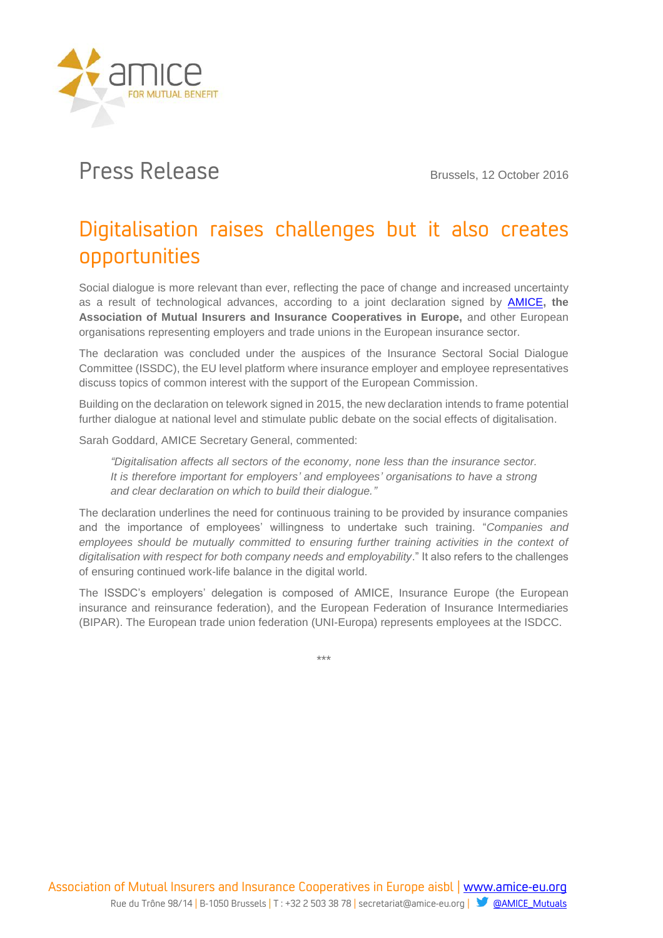

## Press Release Brussels, 12 October 2016

## Digitalisation raises challenges but it also creates opportunities

Social dialogue is more relevant than ever, reflecting the pace of change and increased uncertainty as a result of technological advances, according to a joint declaration signed by [AMICE](http://www.amice-eu.org/)**, the Association of Mutual Insurers and Insurance Cooperatives in Europe,** and other European organisations representing employers and trade unions in the European insurance sector.

The declaration was concluded under the auspices of the Insurance Sectoral Social Dialogue Committee (ISSDC), the EU level platform where insurance employer and employee representatives discuss topics of common interest with the support of the European Commission.

Building on the declaration on telework signed in 2015, the new declaration intends to frame potential further dialogue at national level and stimulate public debate on the social effects of digitalisation.

Sarah Goddard, AMICE Secretary General, commented:

*"Digitalisation affects all sectors of the economy, none less than the insurance sector. It is therefore important for employers' and employees' organisations to have a strong and clear declaration on which to build their dialogue."*

The declaration underlines the need for continuous training to be provided by insurance companies and the importance of employees' willingness to undertake such training. "*Companies and*  employees should be mutually committed to ensuring further training activities in the context of *digitalisation with respect for both company needs and employability*." It also refers to the challenges of ensuring continued work-life balance in the digital world.

The ISSDC's employers' delegation is composed of AMICE, Insurance Europe (the European insurance and reinsurance federation), and the European Federation of Insurance Intermediaries (BIPAR). The European trade union federation (UNI-Europa) represents employees at the ISDCC.

\*\*\*